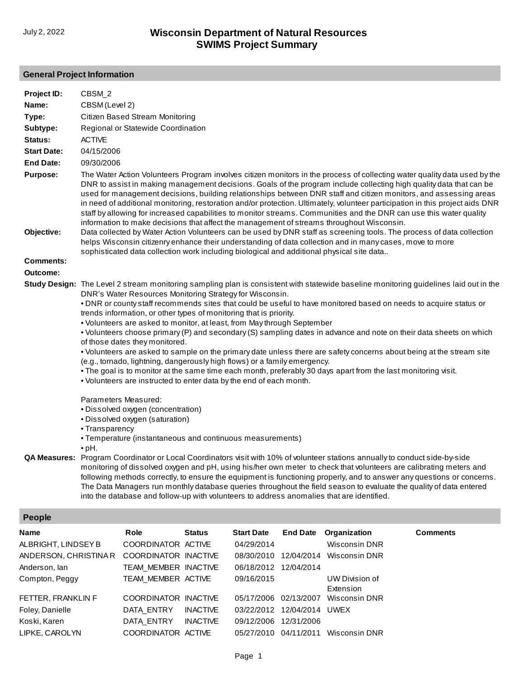## **General Project Information**

| Project ID:                                          | CBSM_2                                                                                                                                                                                                                                                                                                                                                                                                                                                                                                                                                                                                                                                                                                                                                                                                                                                                                                                                                                                                                                                       |                                                    |               |                          |                 |                                                                  |                 |  |  |
|------------------------------------------------------|--------------------------------------------------------------------------------------------------------------------------------------------------------------------------------------------------------------------------------------------------------------------------------------------------------------------------------------------------------------------------------------------------------------------------------------------------------------------------------------------------------------------------------------------------------------------------------------------------------------------------------------------------------------------------------------------------------------------------------------------------------------------------------------------------------------------------------------------------------------------------------------------------------------------------------------------------------------------------------------------------------------------------------------------------------------|----------------------------------------------------|---------------|--------------------------|-----------------|------------------------------------------------------------------|-----------------|--|--|
| Name:                                                | CBSM (Level 2)                                                                                                                                                                                                                                                                                                                                                                                                                                                                                                                                                                                                                                                                                                                                                                                                                                                                                                                                                                                                                                               |                                                    |               |                          |                 |                                                                  |                 |  |  |
| Type:                                                | Citizen Based Stream Monitoring                                                                                                                                                                                                                                                                                                                                                                                                                                                                                                                                                                                                                                                                                                                                                                                                                                                                                                                                                                                                                              |                                                    |               |                          |                 |                                                                  |                 |  |  |
| Subtype:                                             | Regional or Statewide Coordination                                                                                                                                                                                                                                                                                                                                                                                                                                                                                                                                                                                                                                                                                                                                                                                                                                                                                                                                                                                                                           |                                                    |               |                          |                 |                                                                  |                 |  |  |
| Status:                                              | <b>ACTIVE</b>                                                                                                                                                                                                                                                                                                                                                                                                                                                                                                                                                                                                                                                                                                                                                                                                                                                                                                                                                                                                                                                |                                                    |               |                          |                 |                                                                  |                 |  |  |
| <b>Start Date:</b>                                   | 04/15/2006                                                                                                                                                                                                                                                                                                                                                                                                                                                                                                                                                                                                                                                                                                                                                                                                                                                                                                                                                                                                                                                   |                                                    |               |                          |                 |                                                                  |                 |  |  |
| <b>End Date:</b>                                     | 09/30/2006                                                                                                                                                                                                                                                                                                                                                                                                                                                                                                                                                                                                                                                                                                                                                                                                                                                                                                                                                                                                                                                   |                                                    |               |                          |                 |                                                                  |                 |  |  |
| <b>Purpose:</b><br>Objective:                        | The Water Action Volunteers Program involves citizen monitors in the process of collecting water quality data used by the<br>DNR to assist in making management decisions. Goals of the program include collecting high quality data that can be<br>used for management decisions, building relationships between DNR staff and citizen monitors, and assessing areas<br>in need of additional monitoring, restoration and/or protection. Ultimately, volunteer participation in this project aids DNR<br>staff by allowing for increased capabilities to monitor streams. Communities and the DNR can use this water quality<br>information to make decisions that affect the management of streams throughout Wisconsin.<br>Data collected by Water Action Volunteers can be used by DNR staff as screening tools. The process of data collection<br>helps Wisconsin citizenry enhance their understanding of data collection and in many cases, move to more<br>sophisticated data collection work including biological and additional physical site data |                                                    |               |                          |                 |                                                                  |                 |  |  |
| <b>Comments:</b>                                     |                                                                                                                                                                                                                                                                                                                                                                                                                                                                                                                                                                                                                                                                                                                                                                                                                                                                                                                                                                                                                                                              |                                                    |               |                          |                 |                                                                  |                 |  |  |
| Outcome:                                             |                                                                                                                                                                                                                                                                                                                                                                                                                                                                                                                                                                                                                                                                                                                                                                                                                                                                                                                                                                                                                                                              |                                                    |               |                          |                 |                                                                  |                 |  |  |
|                                                      | Study Design: The Level 2 stream monitoring sampling plan is consistent with statewide baseline monitoring guidelines laid out in the<br>DNR's Water Resources Monitoring Strategy for Wisconsin.<br>. DNR or county staff recommends sites that could be useful to have monitored based on needs to acquire status or<br>trends information, or other types of monitoring that is priority.<br>. Volunteers are asked to monitor, at least, from May through September<br>• Volunteers choose primary (P) and secondary (S) sampling dates in advance and note on their data sheets on which<br>of those dates they monitored.<br>• Volunteers are asked to sample on the primary date unless there are safety concerns about being at the stream site<br>(e.g., tornado, lightning, dangerously high flows) or a family emergency.<br>. The goal is to monitor at the same time each month, preferably 30 days apart from the last monitoring visit.<br>. Volunteers are instructed to enter data by the end of each month.                                |                                                    |               |                          |                 |                                                                  |                 |  |  |
|                                                      | Parameters Measured:<br>· Dissolved oxygen (concentration)<br>· Dissolved oxygen (saturation)<br>• Transparency<br>• Temperature (instantaneous and continuous measurements)<br>$\bullet$ pH.<br>QA Measures: Program Coordinator or Local Coordinators visit with 10% of volunteer stations annually to conduct side-by-side<br>monitoring of dissolved oxygen and pH, using his/her own meter to check that volunteers are calibrating meters and<br>following methods correctly, to ensure the equipment is functioning properly, and to answer any questions or concerns.<br>The Data Managers run monthly database queries throughout the field season to evaluate the quality of data entered<br>into the database and follow-up with volunteers to address anomalies that are identified.                                                                                                                                                                                                                                                             |                                                    |               |                          |                 |                                                                  |                 |  |  |
| <b>People</b>                                        |                                                                                                                                                                                                                                                                                                                                                                                                                                                                                                                                                                                                                                                                                                                                                                                                                                                                                                                                                                                                                                                              |                                                    |               |                          |                 |                                                                  |                 |  |  |
|                                                      |                                                                                                                                                                                                                                                                                                                                                                                                                                                                                                                                                                                                                                                                                                                                                                                                                                                                                                                                                                                                                                                              |                                                    |               | <b>Start Date</b>        |                 |                                                                  |                 |  |  |
| Name<br>ALBRIGHT, LINDSEY B<br>ANDERSON, CHRISTINA R |                                                                                                                                                                                                                                                                                                                                                                                                                                                                                                                                                                                                                                                                                                                                                                                                                                                                                                                                                                                                                                                              | Role<br>COORDINATOR ACTIVE<br>COORDINATOR INACTIVE | <b>Status</b> | 04/29/2014<br>08/30/2010 | <b>End Date</b> | Organization<br><b>Wisconsin DNR</b><br>12/04/2014 Wisconsin DNR | <b>Comments</b> |  |  |

| Anderson, lan      | TEAM MEMBER INACTIVE |                 | 06/18/2012 12/04/2014 |                            |                                                  |
|--------------------|----------------------|-----------------|-----------------------|----------------------------|--------------------------------------------------|
| Compton, Peggy     | TEAM MEMBER ACTIVE   |                 | 09/16/2015            |                            | UW Division of                                   |
| FETTER, FRANKLIN F | COORDINATOR INACTIVE |                 |                       |                            | Extension<br>05/17/2006 02/13/2007 Wisconsin DNR |
| Foley, Danielle    | DATA ENTRY           | INACTIVE        |                       | 03/22/2012 12/04/2014 UWEX |                                                  |
| Koski, Karen       | DATA ENTRY           | <b>INACTIVE</b> | 09/12/2006 12/31/2006 |                            |                                                  |
| LIPKE, CAROLYN     | COORDINATOR ACTIVE   |                 |                       |                            | 05/27/2010 04/11/2011 Wisconsin DNR              |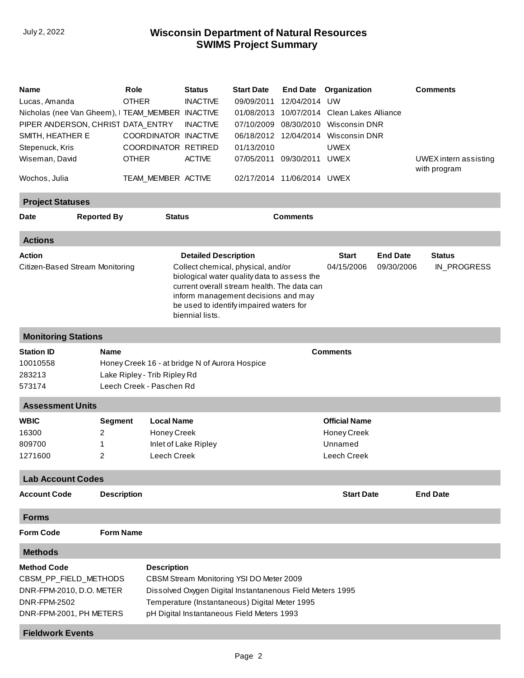## **SWIMS Project Summary** July 2, 2022 **Wisconsin Department of Natural Resources**

| <b>Comments</b><br><b>Reported By</b><br><b>Status</b><br><b>Date</b><br><b>Actions</b><br><b>Action</b><br><b>Detailed Description</b><br><b>Start</b><br><b>End Date</b><br><b>Status</b><br>Citizen-Based Stream Monitoring<br>04/15/2006<br>Collect chemical, physical, and/or<br>09/30/2006<br>IN_PROGRESS<br>biological water quality data to assess the<br>current overall stream health. The data can<br>inform management decisions and may<br>be used to identify impaired waters for<br>biennial lists.<br><b>Monitoring Stations</b><br><b>Comments</b><br><b>Station ID</b><br><b>Name</b><br>10010558<br>Honey Creek 16 - at bridge N of Aurora Hospice<br>Lake Ripley - Trib Ripley Rd<br>283213<br>Leech Creek - Paschen Rd<br>573174<br><b>Assessment Units</b><br><b>WBIC</b><br><b>Local Name</b><br><b>Official Name</b><br>Segment<br>16300<br>Honey Creek<br>2<br>Honey Creek<br>Unnamed<br>809700<br>1<br>Inlet of Lake Ripley<br>2<br>Leech Creek<br>1271600<br>Leech Creek<br><b>Lab Account Codes</b><br><b>Description</b><br><b>Start Date</b><br><b>End Date</b><br><b>Account Code</b><br><b>Forms</b><br><b>Form Name</b><br><b>Form Code</b><br><b>Methods</b><br><b>Method Code</b><br><b>Description</b><br>CBSM_PP_FIELD_METHODS<br>CBSM Stream Monitoring YSI DO Meter 2009<br>DNR-FPM-2010, D.O. METER<br>Dissolved Oxygen Digital Instantanenous Field Meters 1995<br><b>DNR-FPM-2502</b><br>Temperature (Instantaneous) Digital Meter 1995<br>pH Digital Instantaneous Field Meters 1993<br>DNR-FPM-2001, PH METERS | Name<br>Lucas, Amanda<br>Nicholas (nee Van Gheem), I TEAM_MEMBER INACTIVE<br>PIPER ANDERSON, CHRIST DATA_ENTRY<br>SMITH, HEATHER E<br>Stepenuck, Kris<br>Wiseman, David<br>Wochos, Julia |  | Role<br><b>OTHER</b><br>COORDINATOR INACTIVE<br>COORDINATOR RETIRED<br><b>OTHER</b><br>TEAM_MEMBER ACTIVE | <b>Status</b><br><b>INACTIVE</b><br><b>INACTIVE</b><br><b>ACTIVE</b> | <b>Start Date</b><br>09/09/2011<br>01/08/2013<br>07/10/2009<br>01/13/2010<br>02/17/2014 11/06/2014 UWEX | 12/04/2014<br>08/30/2010<br>07/05/2011 09/30/2011 UWEX | <b>End Date Organization</b><br>UW<br>10/07/2014 Clean Lakes Alliance<br>Wisconsin DNR<br>06/18/2012 12/04/2014 Wisconsin DNR<br><b>UWEX</b> |  | <b>Comments</b><br>UWEX intern assisting<br>with program |  |  |
|------------------------------------------------------------------------------------------------------------------------------------------------------------------------------------------------------------------------------------------------------------------------------------------------------------------------------------------------------------------------------------------------------------------------------------------------------------------------------------------------------------------------------------------------------------------------------------------------------------------------------------------------------------------------------------------------------------------------------------------------------------------------------------------------------------------------------------------------------------------------------------------------------------------------------------------------------------------------------------------------------------------------------------------------------------------------------------------------------------------------------------------------------------------------------------------------------------------------------------------------------------------------------------------------------------------------------------------------------------------------------------------------------------------------------------------------------------------------------------------------------------------------------------------------------------|------------------------------------------------------------------------------------------------------------------------------------------------------------------------------------------|--|-----------------------------------------------------------------------------------------------------------|----------------------------------------------------------------------|---------------------------------------------------------------------------------------------------------|--------------------------------------------------------|----------------------------------------------------------------------------------------------------------------------------------------------|--|----------------------------------------------------------|--|--|
|                                                                                                                                                                                                                                                                                                                                                                                                                                                                                                                                                                                                                                                                                                                                                                                                                                                                                                                                                                                                                                                                                                                                                                                                                                                                                                                                                                                                                                                                                                                                                            | <b>Project Statuses</b>                                                                                                                                                                  |  |                                                                                                           |                                                                      |                                                                                                         |                                                        |                                                                                                                                              |  |                                                          |  |  |
|                                                                                                                                                                                                                                                                                                                                                                                                                                                                                                                                                                                                                                                                                                                                                                                                                                                                                                                                                                                                                                                                                                                                                                                                                                                                                                                                                                                                                                                                                                                                                            |                                                                                                                                                                                          |  |                                                                                                           |                                                                      |                                                                                                         |                                                        |                                                                                                                                              |  |                                                          |  |  |
|                                                                                                                                                                                                                                                                                                                                                                                                                                                                                                                                                                                                                                                                                                                                                                                                                                                                                                                                                                                                                                                                                                                                                                                                                                                                                                                                                                                                                                                                                                                                                            |                                                                                                                                                                                          |  |                                                                                                           |                                                                      |                                                                                                         |                                                        |                                                                                                                                              |  |                                                          |  |  |
|                                                                                                                                                                                                                                                                                                                                                                                                                                                                                                                                                                                                                                                                                                                                                                                                                                                                                                                                                                                                                                                                                                                                                                                                                                                                                                                                                                                                                                                                                                                                                            |                                                                                                                                                                                          |  |                                                                                                           |                                                                      |                                                                                                         |                                                        |                                                                                                                                              |  |                                                          |  |  |
|                                                                                                                                                                                                                                                                                                                                                                                                                                                                                                                                                                                                                                                                                                                                                                                                                                                                                                                                                                                                                                                                                                                                                                                                                                                                                                                                                                                                                                                                                                                                                            |                                                                                                                                                                                          |  |                                                                                                           |                                                                      |                                                                                                         |                                                        |                                                                                                                                              |  |                                                          |  |  |
|                                                                                                                                                                                                                                                                                                                                                                                                                                                                                                                                                                                                                                                                                                                                                                                                                                                                                                                                                                                                                                                                                                                                                                                                                                                                                                                                                                                                                                                                                                                                                            |                                                                                                                                                                                          |  |                                                                                                           |                                                                      |                                                                                                         |                                                        |                                                                                                                                              |  |                                                          |  |  |
|                                                                                                                                                                                                                                                                                                                                                                                                                                                                                                                                                                                                                                                                                                                                                                                                                                                                                                                                                                                                                                                                                                                                                                                                                                                                                                                                                                                                                                                                                                                                                            |                                                                                                                                                                                          |  |                                                                                                           |                                                                      |                                                                                                         |                                                        |                                                                                                                                              |  |                                                          |  |  |
|                                                                                                                                                                                                                                                                                                                                                                                                                                                                                                                                                                                                                                                                                                                                                                                                                                                                                                                                                                                                                                                                                                                                                                                                                                                                                                                                                                                                                                                                                                                                                            |                                                                                                                                                                                          |  |                                                                                                           |                                                                      |                                                                                                         |                                                        |                                                                                                                                              |  |                                                          |  |  |
|                                                                                                                                                                                                                                                                                                                                                                                                                                                                                                                                                                                                                                                                                                                                                                                                                                                                                                                                                                                                                                                                                                                                                                                                                                                                                                                                                                                                                                                                                                                                                            |                                                                                                                                                                                          |  |                                                                                                           |                                                                      |                                                                                                         |                                                        |                                                                                                                                              |  |                                                          |  |  |
|                                                                                                                                                                                                                                                                                                                                                                                                                                                                                                                                                                                                                                                                                                                                                                                                                                                                                                                                                                                                                                                                                                                                                                                                                                                                                                                                                                                                                                                                                                                                                            |                                                                                                                                                                                          |  |                                                                                                           |                                                                      |                                                                                                         |                                                        |                                                                                                                                              |  |                                                          |  |  |
|                                                                                                                                                                                                                                                                                                                                                                                                                                                                                                                                                                                                                                                                                                                                                                                                                                                                                                                                                                                                                                                                                                                                                                                                                                                                                                                                                                                                                                                                                                                                                            |                                                                                                                                                                                          |  |                                                                                                           |                                                                      |                                                                                                         |                                                        |                                                                                                                                              |  |                                                          |  |  |
|                                                                                                                                                                                                                                                                                                                                                                                                                                                                                                                                                                                                                                                                                                                                                                                                                                                                                                                                                                                                                                                                                                                                                                                                                                                                                                                                                                                                                                                                                                                                                            |                                                                                                                                                                                          |  |                                                                                                           |                                                                      |                                                                                                         |                                                        |                                                                                                                                              |  |                                                          |  |  |
|                                                                                                                                                                                                                                                                                                                                                                                                                                                                                                                                                                                                                                                                                                                                                                                                                                                                                                                                                                                                                                                                                                                                                                                                                                                                                                                                                                                                                                                                                                                                                            |                                                                                                                                                                                          |  |                                                                                                           |                                                                      |                                                                                                         |                                                        |                                                                                                                                              |  |                                                          |  |  |
| <b>Fieldwork Events</b>                                                                                                                                                                                                                                                                                                                                                                                                                                                                                                                                                                                                                                                                                                                                                                                                                                                                                                                                                                                                                                                                                                                                                                                                                                                                                                                                                                                                                                                                                                                                    |                                                                                                                                                                                          |  |                                                                                                           |                                                                      |                                                                                                         |                                                        |                                                                                                                                              |  |                                                          |  |  |